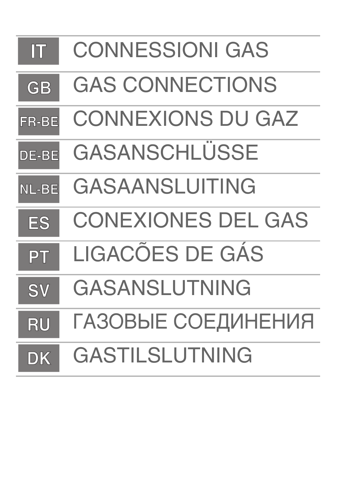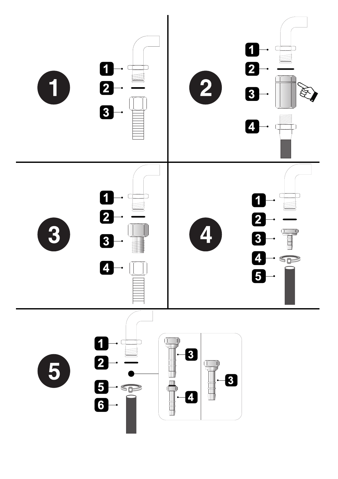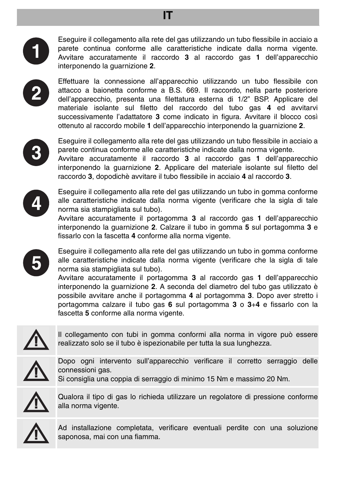

Eseguire il collegamento alla rete del gas utilizzando un tubo flessibile in acciaio a parete continua conforme alle caratteristiche indicate dalla norma vigente. Avvitare accuratamente il raccordo **3** al raccordo gas **1** dell'apparecchio interponendo la guarnizione **2**.



Effettuare la connessione all'apparecchio utilizzando un tubo flessibile con attacco a baionetta conforme a B.S. 669. Il raccordo, nella parte posteriore dell'apparecchio, presenta una filettatura esterna di 1/2" BSP. Applicare del materiale isolante sul filetto del raccordo del tubo gas **4** ed avvitarvi successivamente l'adattatore **3** come indicato in figura. Avvitare il blocco così ottenuto al raccordo mobile **1** dell'apparecchio interponendo la guarnizione **2**.



Eseguire il collegamento alla rete del gas utilizzando un tubo flessibile in acciaio a parete continua conforme alle caratteristiche indicate dalla norma vigente.

Avvitare accuratamente il raccordo **3** al raccordo gas **1** dell'apparecchio interponendo la guarnizione **2**. Applicare del materiale isolante sul filetto del raccordo **3**, dopodichè avvitare il tubo flessibile in acciaio **4** al raccordo **3**.



Eseguire il collegamento alla rete del gas utilizzando un tubo in gomma conforme alle caratteristiche indicate dalla norma vigente (verificare che la sigla di tale norma sia stampigliata sul tubo).

Avvitare accuratamente il portagomma **3** al raccordo gas **1** dell'apparecchio interponendo la guarnizione **2**. Calzare il tubo in gomma **5** sul portagomma **3** e fissarlo con la fascetta **4** conforme alla norma vigente.



Eseguire il collegamento alla rete del gas utilizzando un tubo in gomma conforme alle caratteristiche indicate dalla norma vigente (verificare che la sigla di tale norma sia stampigliata sul tubo).

Avvitare accuratamente il portagomma **3** al raccordo gas **1** dell'apparecchio interponendo la guarnizione **2**. A seconda del diametro del tubo gas utilizzato è possibile avvitare anche il portagomma **4** al portagomma **3**. Dopo aver stretto i portagomma calzare il tubo gas **6** sul portagomma **3** o **3**+**4** e fissarlo con la fascetta **5** conforme alla norma vigente.



Il collegamento con tubi in gomma conformi alla norma in vigore può essere realizzato solo se il tubo è ispezionabile per tutta la sua lunghezza.



Dopo ogni intervento sull'apparecchio verificare il corretto serraggio delle connessioni gas.

Si consiglia una coppia di serraggio di minimo 15 Nm e massimo 20 Nm.



Qualora il tipo di gas lo richieda utilizzare un regolatore di pressione conforme alla norma vigente.



Ad installazione completata, verificare eventuali perdite con una soluzione saponosa, mai con una fiamma.

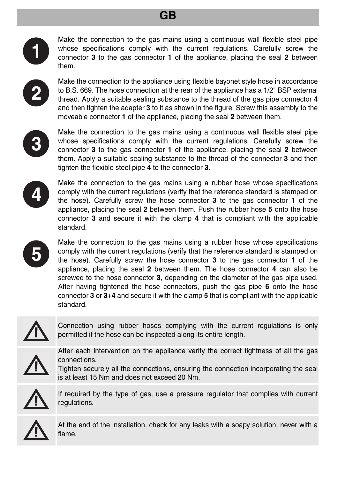## **GB**



Make the connection to the gas mains using a continuous wall flexible steel pipe whose specifications comply with the current regulations. Carefully screw the connector **3** to the gas connector **1** of the appliance, placing the seal **2** between them.



Make the connection to the appliance using flexible bayonet style hose in accordance to B.S. 669. The hose connection at the rear of the appliance has a 1/2" BSP external thread. Apply a suitable sealing substance to the thread of the gas pipe connector **4** and then tighten the adapter **3** to it as shown in the figure. Screw this assembly to the moveable connector **1** of the appliance, placing the seal **2** between them.



Make the connection to the gas mains using a continuous wall flexible steel pipe whose specifications comply with the current regulations. Carefully screw the connector **3** to the gas connector **1** of the appliance, placing the seal **2** between them. Apply a suitable sealing substance to the thread of the connector **3** and then tighten the flexible steel pipe **4** to the connector **3**.



Make the connection to the gas mains using a rubber hose whose specifications comply with the current regulations (verify that the reference standard is stamped on the hose). Carefully screw the hose connector **3** to the gas connector **1** of the appliance, placing the seal **2** between them. Push the rubber hose **5** onto the hose connector **3** and secure it with the clamp **4** that is compliant with the applicable standard.



Make the connection to the gas mains using a rubber hose whose specifications comply with the current regulations (verify that the reference standard is stamped on the hose). Carefully screw the hose connector **3** to the gas connector **1** of the appliance, placing the seal **2** between them. The hose connector **4** can also be screwed to the hose connector **3**, depending on the diameter of the gas pipe used. After having tightened the hose connectors, push the gas pipe **6** onto the hose connector **3** or **3**+**4** and secure it with the clamp **5** that is compliant with the applicable standard.



Connection using rubber hoses complying with the current regulations is only permitted if the hose can be inspected along its entire length.



After each intervention on the appliance verify the correct tightness of all the gas connections.

Tighten securely all the connections, ensuring the connection incorporating the seal is at least 15 Nm and does not exceed 20 Nm.



If required by the type of gas, use a pressure regulator that complies with current regulations.



At the end of the installation, check for any leaks with a soapy solution, never with a flame.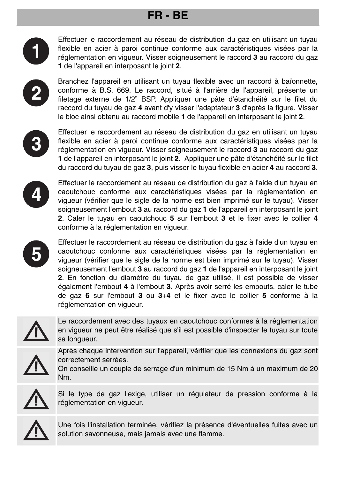# **FR - BE**



Effectuer le raccordement au réseau de distribution du gaz en utilisant un tuyau flexible en acier à paroi continue conforme aux caractéristiques visées par la réglementation en vigueur. Visser soigneusement le raccord **3** au raccord du gaz **1** de l'appareil en interposant le joint **2**.



Branchez l'appareil en utilisant un tuyau flexible avec un raccord à baïonnette, conforme à B.S. 669. Le raccord, situé à l'arrière de l'appareil, présente un filetage externe de 1/2" BSP. Appliquer une pâte d'étanchéité sur le filet du raccord du tuyau de gaz **4** avant d'y visser l'adaptateur **3** d'après la figure. Visser le bloc ainsi obtenu au raccord mobile **1** de l'appareil en interposant le joint **2**.



Effectuer le raccordement au réseau de distribution du gaz en utilisant un tuyau flexible en acier à paroi continue conforme aux caractéristiques visées par la réglementation en vigueur. Visser soigneusement le raccord **3** au raccord du gaz **1** de l'appareil en interposant le joint **2**. Appliquer une pâte d'étanchéité sur le filet du raccord du tuyau de gaz **3**, puis visser le tuyau flexible en acier **4** au raccord **3**.



Effectuer le raccordement au réseau de distribution du gaz à l'aide d'un tuyau en caoutchouc conforme aux caractéristiques visées par la réglementation en vigueur (vérifier que le sigle de la norme est bien imprimé sur le tuyau). Visser soigneusement l'embout **3** au raccord du gaz **1** de l'appareil en interposant le joint **2**. Caler le tuyau en caoutchouc **5** sur l'embout **3** et le fixer avec le collier **4** conforme à la réglementation en vigueur.



Effectuer le raccordement au réseau de distribution du gaz à l'aide d'un tuyau en caoutchouc conforme aux caractéristiques visées par la réglementation en vigueur (vérifier que le sigle de la norme est bien imprimé sur le tuyau). Visser soigneusement l'embout **3** au raccord du gaz **1** de l'appareil en interposant le joint **2**. En fonction du diamètre du tuyau de gaz utilisé, il est possible de visser également l'embout **4** à l'embout **3**. Après avoir serré les embouts, caler le tube de gaz **6** sur l'embout **3** ou **3**+**4** et le fixer avec le collier **5** conforme à la réglementation en vigueur.



Le raccordement avec des tuyaux en caoutchouc conformes à la réglementation en vigueur ne peut être réalisé que s'il est possible d'inspecter le tuyau sur toute sa longueur.



Après chaque intervention sur l'appareil, vérifier que les connexions du gaz sont correctement serrées.

On conseille un couple de serrage d'un minimum de 15 Nm à un maximum de 20 Nm.



Si le type de gaz l'exige, utiliser un régulateur de pression conforme à la réglementation en vigueur.



Une fois l'installation terminée, vérifiez la présence d'éventuelles fuites avec un solution savonneuse, mais jamais avec une flamme.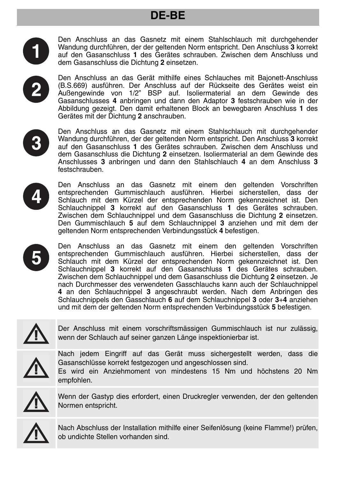# **DE-BE**



Den Anschluss an das Gasnetz mit einem Stahlschlauch mit durchgehender Wandung durchführen, der der geltenden Norm entspricht. Den Anschluss **3** korrekt auf den Gasanschluss **1** des Gerätes schrauben. Zwischen dem Anschluss und dem Gasanschluss die Dichtung **2** einsetzen.

Den Anschluss an das Gerät mithilfe eines Schlauches mit Bajonett-Anschluss (B.S.669) ausführen. Der Anschluss auf der Rückseite des Gerätes weist ein Außengewinde von 1/2" BSP auf. Isoliermaterial an dem Gewinde des Gasanschlusses **4** anbringen und dann den Adaptor **3** festschrauben wie in der Abbildung gezeigt. Den damit erhaltenen Block an bewegbaren Anschluss **1** des Gerätes mit der Dichtung **2** anschrauben.



Den Anschluss an das Gasnetz mit einem Stahlschlauch mit durchgehender Wandung durchführen, der der geltenden Norm entspricht. Den Anschluss **3** korrekt auf den Gasanschluss **1** des Gerätes schrauben. Zwischen dem Anschluss und dem Gasanschluss die Dichtung **2** einsetzen. Isoliermaterial an dem Gewinde des Anschlusses **3** anbringen und dann den Stahlschlauch **4** an dem Anschluss **3** festschrauben.



Den Anschluss an das Gasnetz mit einem den geltenden Vorschriften entsprechenden Gummischlauch ausführen. Hierbei sicherstellen, dass der Schlauch mit dem Kürzel der entsprechenden Norm gekennzeichnet ist. Den Schlauchnippel **3** korrekt auf den Gasanschluss **1** des Gerätes schrauben. Zwischen dem Schlauchnippel und dem Gasanschluss die Dichtung **2** einsetzen. Den Gummischlauch **5** auf dem Schlauchnippel **3** anziehen und mit dem der geltenden Norm entsprechenden Verbindungsstück **4** befestigen.



Den Anschluss an das Gasnetz mit einem den geltenden Vorschriften entsprechenden Gummischlauch ausführen. Hierbei sicherstellen, dass der Schlauch mit dem Kürzel der entsprechenden Norm gekennzeichnet ist. Den Schlauchnippel **3** korrekt auf den Gasanschluss **1** des Gerätes schrauben. Zwischen dem Schlauchnippel und dem Gasanschluss die Dichtung **2** einsetzen. Je nach Durchmesser des verwendeten Gasschlauchs kann auch der Schlauchnippel **4** an den Schlauchnippel **3** angeschraubt werden. Nach dem Anbringen des Schlauchnippels den Gasschlauch **6** auf dem Schlauchnippel **3** oder **3**+**4** anziehen und mit dem der geltenden Norm entsprechenden Verbindungsstück **5** befestigen.



Der Anschluss mit einem vorschriftsmässigen Gummischlauch ist nur zulässig, wenn der Schlauch auf seiner ganzen Länge inspektionierbar ist.



Nach jedem Eingriff auf das Gerät muss sichergestellt werden, dass die Gasanschlüsse korrekt festgezogen und angeschlossen sind.





Wenn der Gastyp dies erfordert, einen Druckregler verwenden, der den geltenden Normen entspricht.



Nach Abschluss der Installation mithilfe einer Seifenlösung (keine Flamme!) prüfen, ob undichte Stellen vorhanden sind.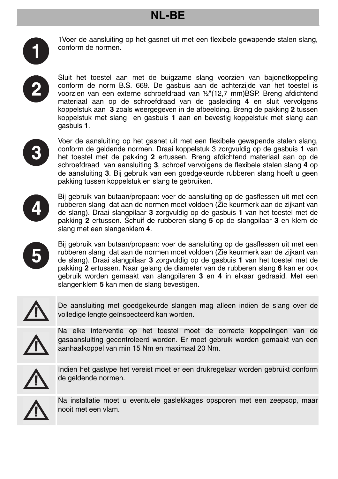# **NL-BE**



1Voer de aansluiting op het gasnet uit met een flexibele gewapende stalen slang, conform de normen.

Sluit het toestel aan met de buigzame slang voorzien van bajonetkoppeling conform de norm B.S. 669. De gasbuis aan de achterzijde van het toestel is voorzien van een externe schroefdraad van ½"(12,7 mm)BSP. Breng afdichtend materiaal aan op de schroefdraad van de gasleiding **4** en sluit vervolgens koppelstuk aan **3** zoals weergegeven in de afbeelding. Breng de pakking **2** tussen koppelstuk met slang en gasbuis **1** aan en bevestig koppelstuk met slang aan gasbuis **1**.



Voer de aansluiting op het gasnet uit met een flexibele gewapende stalen slang, conform de geldende normen. Draai koppelstuk 3 zorgvuldig op de gasbuis **1** van het toestel met de pakking **2** ertussen. Breng afdichtend materiaal aan op de schroefdraad van aansluiting **3**, schroef vervolgens de flexibele stalen slang **4** op de aansluiting **3**. Bij gebruik van een goedgekeurde rubberen slang hoeft u geen pakking tussen koppelstuk en slang te gebruiken.



Bij gebruik van butaan/propaan: voer de aansluiting op de gasflessen uit met een rubberen slang dat aan de normen moet voldoen (Zie keurmerk aan de zijkant van de slang). Draai slangpilaar **3** zorgvuldig op de gasbuis **1** van het toestel met de pakking **2** ertussen. Schuif de rubberen slang **5** op de slangpilaar **3** en klem de slang met een slangenklem **4**.



Bij gebruik van butaan/propaan: voer de aansluiting op de gasflessen uit met een rubberen slang dat aan de normen moet voldoen (Zie keurmerk aan de zijkant van de slang). Draai slangpilaar **3** zorgvuldig op de gasbuis **1** van het toestel met de pakking **2** ertussen. Naar gelang de diameter van de rubberen slang **6** kan er ook gebruik worden gemaakt van slangpilaren **3** en **4** in elkaar gedraaid. Met een slangenklem **5** kan men de slang bevestigen.

$$
\overline{\mathbb{A}}
$$

De aansluiting met goedgekeurde slangen mag alleen indien de slang over de volledige lengte geïnspecteerd kan worden.



Na elke interventie op het toestel moet de correcte koppelingen van de gasaansluiting gecontroleerd worden. Er moet gebruik worden gemaakt van een aanhaalkoppel van min 15 Nm en maximaal 20 Nm.



Indien het gastype het vereist moet er een drukregelaar worden gebruikt conform de geldende normen.



Na installatie moet u eventuele gaslekkages opsporen met een zeepsop, maar nooit met een vlam.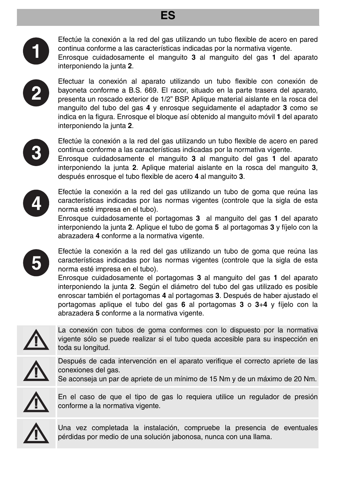#### **ES**



Efectúe la conexión a la red del gas utilizando un tubo flexible de acero en pared continua conforme a las características indicadas por la normativa vigente. Enrosque cuidadosamente el manguito **3** al manguito del gas **1** del aparato interponiendo la junta **2**.



Efectuar la conexión al aparato utilizando un tubo flexible con conexión de bayoneta conforme a B.S. 669. El racor, situado en la parte trasera del aparato, presenta un roscado exterior de 1/2" BSP. Aplique material aislante en la rosca del manguito del tubo del gas **4** y enrosque seguidamente el adaptador **3** como se indica en la figura. Enrosque el bloque así obtenido al manguito móvil **1** del aparato interponiendo la junta **2**.



Efectúe la conexión a la red del gas utilizando un tubo flexible de acero en pared continua conforme a las características indicadas por la normativa vigente.

Enrosque cuidadosamente el manguito **3** al manguito del gas **1** del aparato interponiendo la junta **2**. Aplique material aislante en la rosca del manguito **3**, después enrosque el tubo flexible de acero **4** al manguito **3**.



Efectúe la conexión a la red del gas utilizando un tubo de goma que reúna las características indicadas por las normas vigentes (controle que la sigla de esta norma esté impresa en el tubo).

Enrosque cuidadosamente el portagomas **3** al manguito del gas **1** del aparato interponiendo la junta **2**. Aplique el tubo de goma **5** al portagomas **3** y fíjelo con la abrazadera **4** conforme a la normativa vigente.

Efectúe la conexión a la red del gas utilizando un tubo de goma que reúna las características indicadas por las normas vigentes (controle que la sigla de esta norma esté impresa en el tubo).

Enrosque cuidadosamente el portagomas **3** al manguito del gas **1** del aparato interponiendo la junta **2**. Según el diámetro del tubo del gas utilizado es posible enroscar también el portagomas **4** al portagomas **3**. Después de haber ajustado el portagomas aplique el tubo del gas **6** al portagomas **3** o **3**+**4** y fíjelo con la abrazadera **5** conforme a la normativa vigente.



La conexión con tubos de goma conformes con lo dispuesto por la normativa vigente sólo se puede realizar si el tubo queda accesible para su inspección en toda su longitud.



Después de cada intervención en el aparato verifique el correcto apriete de las conexiones del gas.

Se aconseja un par de apriete de un mínimo de 15 Nm y de un máximo de 20 Nm.



En el caso de que el tipo de gas lo requiera utilice un regulador de presión conforme a la normativa vigente.



Una vez completada la instalación, compruebe la presencia de eventuales pérdidas por medio de una solución jabonosa, nunca con una llama.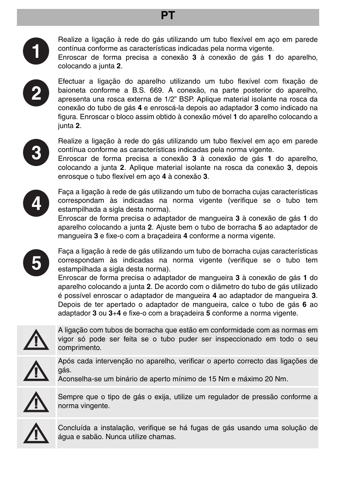#### **PT**



Realize a ligação à rede do gás utilizando um tubo flexível em aço em parede contínua conforme as características indicadas pela norma vigente.

Enroscar de forma precisa a conexão **3** à conexão de gás **1** do aparelho, colocando a junta **2**.



Efectuar a ligação do aparelho utilizando um tubo flexível com fixação de baioneta conforme a B.S. 669. A conexão, na parte posterior do aparelho, apresenta una rosca externa de 1/2" BSP. Aplique material isolante na rosca da conexão do tubo de gás **4** e enroscá-la depois ao adaptador **3** como indicado na figura. Enroscar o bloco assim obtido à conexão móvel **1** do aparelho colocando a junta **2**.



Realize a ligação à rede do gás utilizando um tubo flexível em aço em parede contínua conforme as características indicadas pela norma vigente.

Enroscar de forma precisa a conexão **3** à conexão de gás **1** do aparelho, colocando a junta **2**. Aplique material isolante na rosca da conexão **3**, depois enrosque o tubo flexível em aço **4** à conexão **3**.



Faça a ligação à rede de gás utilizando um tubo de borracha cujas características correspondam às indicadas na norma vigente (verifique se o tubo tem estampilhada a sigla desta norma).

Enroscar de forma precisa o adaptador de mangueira **3** à conexão de gás **1** do aparelho colocando a junta **2**. Ajuste bem o tubo de borracha **5** ao adaptador de mangueira **3** e fixe-o com a braçadeira **4** conforme a norma vigente.



Faça a ligação à rede de gás utilizando um tubo de borracha cujas características correspondam às indicadas na norma vigente (verifique se o tubo tem estampilhada a sigla desta norma).

Enroscar de forma precisa o adaptador de mangueira **3** à conexão de gás **1** do aparelho colocando a junta **2**. De acordo com o diâmetro do tubo de gás utilizado é possível enroscar o adaptador de mangueira **4** ao adaptador de mangueira **3**. Depois de ter apertado o adaptador de mangueira, calce o tubo de gás **6** ao adaptador **3** ou **3**+**4** e fixe-o com a braçadeira **5** conforme a norma vigente.



A ligação com tubos de borracha que estão em conformidade com as normas em vigor só pode ser feita se o tubo puder ser inspeccionado em todo o seu comprimento.



Após cada intervenção no aparelho, verificar o aperto correcto das ligações de gás.

Aconselha-se um binário de aperto mínimo de 15 Nm e máximo 20 Nm.



Sempre que o tipo de gás o exija, utilize um regulador de pressão conforme a norma vingente.



Concluída a instalação, verifique se há fugas de gás usando uma solução de água e sabão. Nunca utilize chamas.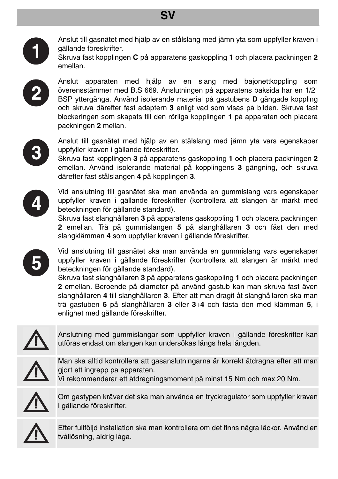# **SV**



Anslut till gasnätet med hjälp av en stålslang med jämn yta som uppfyller kraven i gällande föreskrifter.



Skruva fast kopplingen **C** på apparatens gaskoppling **1** och placera packningen **2** emellan.



Anslut apparaten med hjälp av en slang med bajonettkoppling som överensstämmer med B.S 669. Anslutningen på apparatens baksida har en 1/2" BSP yttergänga. Använd isolerande material på gastubens **D** gängade koppling och skruva därefter fast adaptern **3** enligt vad som visas på bilden. Skruva fast blockeringen som skapats till den rörliga kopplingen **1** på apparaten och placera packningen **2** mellan.



Anslut till gasnätet med hjälp av en stålslang med jämn yta vars egenskaper uppfyller kraven i gällande föreskrifter.

Skruva fast kopplingen **3** på apparatens gaskoppling **1** och placera packningen **2** emellan. Använd isolerande material på kopplingens **3** gängning, och skruva därefter fast stålslangen **4** på kopplingen **3**.



Vid anslutning till gasnätet ska man använda en gummislang vars egenskaper uppfyller kraven i gällande föreskrifter (kontrollera att slangen är märkt med beteckningen för gällande standard).

Skruva fast slanghållaren **3** på apparatens gaskoppling **1** och placera packningen **2** emellan. Trä på gummislangen **5** på slanghållaren **3** och fäst den med slangklämman **4** som uppfyller kraven i gällande föreskrifter.



Vid anslutning till gasnätet ska man använda en gummislang vars egenskaper uppfyller kraven i gällande föreskrifter (kontrollera att slangen är märkt med beteckningen för gällande standard).

Skruva fast slanghållaren **3** på apparatens gaskoppling **1** och placera packningen **2** emellan. Beroende på diameter på använd gastub kan man skruva fast även slanghållaren **4** till slanghållaren **3**. Efter att man dragit åt slanghållaren ska man trä gastuben **6** på slanghållaren **3** eller **3**+**4** och fästa den med klämman **5**, i enlighet med gällande föreskrifter.



Anslutning med gummislangar som uppfyller kraven i gällande föreskrifter kan utföras endast om slangen kan undersökas längs hela längden.



Man ska alltid kontrollera att gasanslutningarna är korrekt åtdragna efter att man gjort ett ingrepp på apparaten. Vi rekommenderar ett åtdragningsmoment på minst 15 Nm och max 20 Nm.



Om gastypen kräver det ska man använda en tryckregulator som uppfyller kraven i gällande föreskrifter.



Efter fullföljd installation ska man kontrollera om det finns några läckor. Använd en tvållösning, aldrig låga.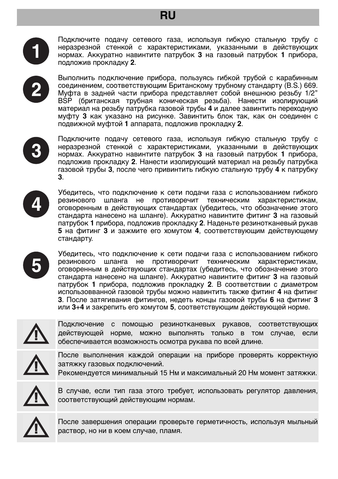## **RU**



Подключите подачу сетевого газа, используя гибкую стальную трубу с неразрезной стенкой с характеристиками, указанными в действующих нормах. Аккуратно навинтите патрубок **3** на газовый патрубок **1** прибора, подложив прокладку **2**.

Выполнить подключение прибора, пользуясь гибкой трубой с карабинным соединением, соответствующим Британскому трубному стандарту (B.S.) 669. Муфта в задней части прибора представляет собой внешнюю резьбу 1/2" BSP (британская трубная коническая резьба). Нанести изолирующий материал на резьбу патрубка газовой трубы **4** и далее завинтить переходную муфту **3** как указано на рисунке. Завинтить блок так, как он соединен с подвижной муфтой **1** аппарата, подложив прокладку **2**.



Подключите подачу сетевого газа, используя гибкую стальную трубу с неразрезной стенкой с характеристиками, указанными в действующих нормах. Аккуратно навинтите патрубок **3** на газовый патрубок **1** прибора, подложив прокладку **2**. Нанести изолирующий материал на резьбу патрубка газовой трубы **3**, после чего привинтить гибкую стальную трубу **4** к патрубку **3**.



Убедитесь, что подключение к сети подачи газа с использованием гибкого резинового шланга не противоречит техническим характеристикам, оговоренным в действующих стандартах (убедитесь, что обозначение этого стандарта нанесено на шланге). Аккуратно навинтите фитинг **3** на газовый патрубок **1** прибора, подложив прокладку **2**. Наденьте резинотканевый рукав **5** на фитинг **3** и зажмите его хомутом **4**, соответствующим действующему стандарту.



Убедитесь, что подключение к сети подачи газа с использованием гибкого резинового шланга не противоречит техническим характеристикам, оговоренным в действующих стандартах (убедитесь, что обозначение этого стандарта нанесено на шланге). Аккуратно навинтите фитинг **3** на газовый патрубок **1** прибора, подложив прокладку **2**. В соответствии с диаметром использовванной газовой трубы можно навинтить также фитинг **4** на фитинг **3**. После затягивания фитингов, недеть концы газовой трубы **6** на фитинг **3** или **3**+**4** и закрепить его хомутом **5**, соответствующим действующей норме.



Подключение с помощью резинотканевых рукавов, соответствующих действующей норме, можно выполнять только в том случае, если обеспечивается возможность осмотра рукава по всей длине.



После выполнения каждой операции на приборе проверять корректную затяжку газовых подключений.

Рекомендуется минимальный 15 Нм и максимальный 20 Нм момент затяжки.



В случае, если тип газа этого требует, использовать регулятор давления, соответствующий действующим нормам.



После завершения операции проверьте герметичность, используя мыльный раствор, но ни в коем случае, пламя.